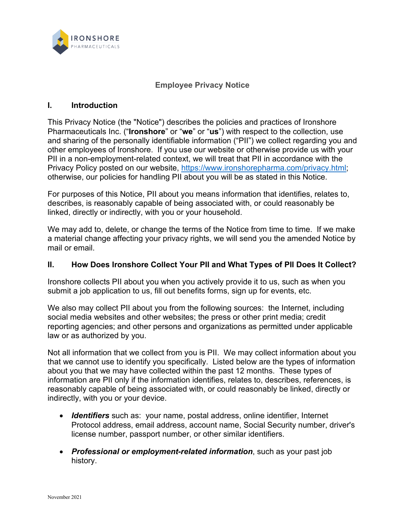

#### **Employee Privacy Notice**

#### **I. Introduction**

This Privacy Notice (the "Notice") describes the policies and practices of Ironshore Pharmaceuticals Inc. ("**Ironshore**" or "**we**" or "**us**") with respect to the collection, use and sharing of the personally identifiable information ("PII") we collect regarding you and other employees of Ironshore. If you use our website or otherwise provide us with your PII in a non-employment-related context, we will treat that PII in accordance with the Privacy Policy posted on our website, [https://www.ironshorepharma.com/privacy.html;](https://www.ironshorepharma.com/privacy.html) otherwise, our policies for handling PII about you will be as stated in this Notice.

For purposes of this Notice, PII about you means information that identifies, relates to, describes, is reasonably capable of being associated with, or could reasonably be linked, directly or indirectly, with you or your household.

We may add to, delete, or change the terms of the Notice from time to time. If we make a material change affecting your privacy rights, we will send you the amended Notice by mail or email.

## **II. How Does Ironshore Collect Your PII and What Types of PII Does It Collect?**

Ironshore collects PII about you when you actively provide it to us, such as when you submit a job application to us, fill out benefits forms, sign up for events, etc.

We also may collect PII about you from the following sources: the Internet, including social media websites and other websites; the press or other print media; credit reporting agencies; and other persons and organizations as permitted under applicable law or as authorized by you.

Not all information that we collect from you is PII. We may collect information about you that we cannot use to identify you specifically. Listed below are the types of information about you that we may have collected within the past 12 months. These types of information are PII only if the information identifies, relates to, describes, references, is reasonably capable of being associated with, or could reasonably be linked, directly or indirectly, with you or your device.

- *Identifiers* such as: your name, postal address, online identifier, Internet Protocol address, email address, account name, Social Security number, driver's license number, passport number, or other similar identifiers.
- *Professional or employment-related information*, such as your past job history.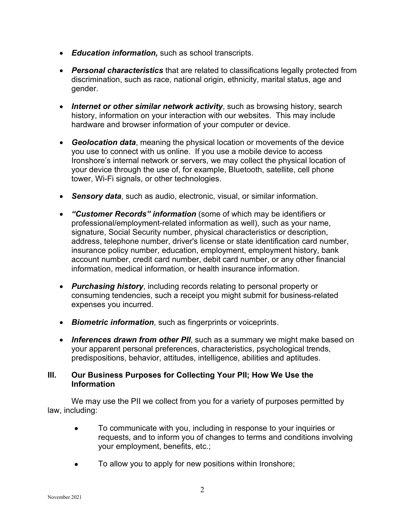- *Education information,* such as school transcripts.
- *Personal characteristics* that are related to classifications legally protected from discrimination, such as race, national origin, ethnicity, marital status, age and gender.
- *Internet or other similar network activity*, such as browsing history, search history, information on your interaction with our websites. This may include hardware and browser information of your computer or device.
- *Geolocation data*, meaning the physical location or movements of the device you use to connect with us online. If you use a mobile device to access Ironshore's internal network or servers, we may collect the physical location of your device through the use of, for example, Bluetooth, satellite, cell phone tower, Wi-Fi signals, or other technologies.
- *Sensory data*, such as audio, electronic, visual, or similar information.
- *"Customer Records" information* (some of which may be identifiers or professional/employment-related information as well), such as your name, signature, Social Security number, physical characteristics or description, address, telephone number, driver's license or state identification card number, insurance policy number, education, employment, employment history, bank account number, credit card number, debit card number, or any other financial information, medical information, or health insurance information.
- *Purchasing history*, including records relating to personal property or consuming tendencies, such a receipt you might submit for business-related expenses you incurred.
- *Biometric information*, such as fingerprints or voiceprints.
- *Inferences drawn from other PII*, such as a summary we might make based on your apparent personal preferences, characteristics, psychological trends, predispositions, behavior, attitudes, intelligence, abilities and aptitudes.

# **III. Our Business Purposes for Collecting Your PII; How We Use the Information**

We may use the PII we collect from you for a variety of purposes permitted by law, including:

- To communicate with you, including in response to your inquiries or requests, and to inform you of changes to terms and conditions involving your employment, benefits, etc.;
- To allow you to apply for new positions within Ironshore;